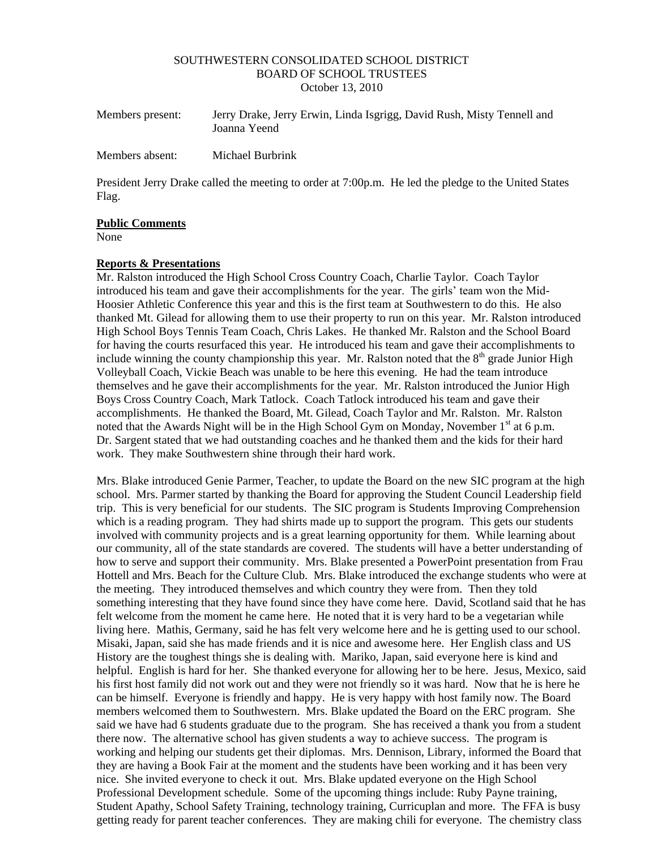#### SOUTHWESTERN CONSOLIDATED SCHOOL DISTRICT BOARD OF SCHOOL TRUSTEES October 13, 2010

| Members present: | Jerry Drake, Jerry Erwin, Linda Isgrigg, David Rush, Misty Tennell and<br>Joanna Yeend |
|------------------|----------------------------------------------------------------------------------------|
| Members absent:  | Michael Burbrink                                                                       |

President Jerry Drake called the meeting to order at 7:00p.m. He led the pledge to the United States Flag.

#### **Public Comments**

None

### **Reports & Presentations**

Mr. Ralston introduced the High School Cross Country Coach, Charlie Taylor. Coach Taylor introduced his team and gave their accomplishments for the year. The girls' team won the Mid-Hoosier Athletic Conference this year and this is the first team at Southwestern to do this. He also thanked Mt. Gilead for allowing them to use their property to run on this year. Mr. Ralston introduced High School Boys Tennis Team Coach, Chris Lakes. He thanked Mr. Ralston and the School Board for having the courts resurfaced this year. He introduced his team and gave their accomplishments to include winning the county championship this year. Mr. Ralston noted that the  $8<sup>th</sup>$  grade Junior High Volleyball Coach, Vickie Beach was unable to be here this evening. He had the team introduce themselves and he gave their accomplishments for the year. Mr. Ralston introduced the Junior High Boys Cross Country Coach, Mark Tatlock. Coach Tatlock introduced his team and gave their accomplishments. He thanked the Board, Mt. Gilead, Coach Taylor and Mr. Ralston. Mr. Ralston noted that the Awards Night will be in the High School Gym on Monday, November  $1<sup>st</sup>$  at 6 p.m. Dr. Sargent stated that we had outstanding coaches and he thanked them and the kids for their hard work. They make Southwestern shine through their hard work.

Mrs. Blake introduced Genie Parmer, Teacher, to update the Board on the new SIC program at the high school. Mrs. Parmer started by thanking the Board for approving the Student Council Leadership field trip. This is very beneficial for our students. The SIC program is Students Improving Comprehension which is a reading program. They had shirts made up to support the program. This gets our students involved with community projects and is a great learning opportunity for them. While learning about our community, all of the state standards are covered. The students will have a better understanding of how to serve and support their community. Mrs. Blake presented a PowerPoint presentation from Frau Hottell and Mrs. Beach for the Culture Club. Mrs. Blake introduced the exchange students who were at the meeting. They introduced themselves and which country they were from. Then they told something interesting that they have found since they have come here. David, Scotland said that he has felt welcome from the moment he came here. He noted that it is very hard to be a vegetarian while living here. Mathis, Germany, said he has felt very welcome here and he is getting used to our school. Misaki, Japan, said she has made friends and it is nice and awesome here. Her English class and US History are the toughest things she is dealing with. Mariko, Japan, said everyone here is kind and helpful. English is hard for her. She thanked everyone for allowing her to be here. Jesus, Mexico, said his first host family did not work out and they were not friendly so it was hard. Now that he is here he can be himself. Everyone is friendly and happy. He is very happy with host family now. The Board members welcomed them to Southwestern. Mrs. Blake updated the Board on the ERC program. She said we have had 6 students graduate due to the program. She has received a thank you from a student there now. The alternative school has given students a way to achieve success. The program is working and helping our students get their diplomas. Mrs. Dennison, Library, informed the Board that they are having a Book Fair at the moment and the students have been working and it has been very nice. She invited everyone to check it out. Mrs. Blake updated everyone on the High School Professional Development schedule. Some of the upcoming things include: Ruby Payne training, Student Apathy, School Safety Training, technology training, Curricuplan and more. The FFA is busy getting ready for parent teacher conferences. They are making chili for everyone. The chemistry class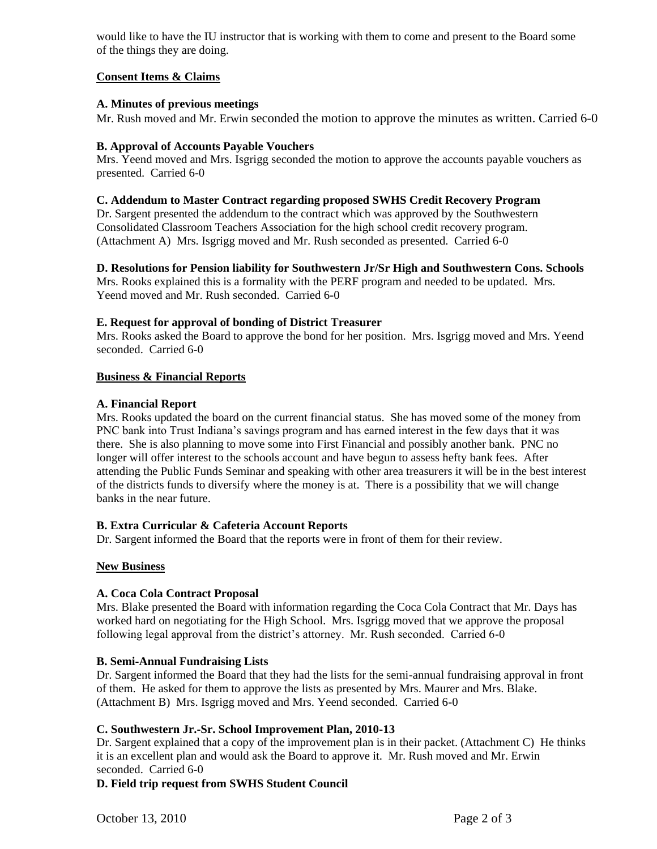would like to have the IU instructor that is working with them to come and present to the Board some of the things they are doing.

# **Consent Items & Claims**

### **A. Minutes of previous meetings**

Mr. Rush moved and Mr. Erwin seconded the motion to approve the minutes as written. Carried 6-0

### **B. Approval of Accounts Payable Vouchers**

Mrs. Yeend moved and Mrs. Isgrigg seconded the motion to approve the accounts payable vouchers as presented. Carried 6-0

### **C. Addendum to Master Contract regarding proposed SWHS Credit Recovery Program**

Dr. Sargent presented the addendum to the contract which was approved by the Southwestern Consolidated Classroom Teachers Association for the high school credit recovery program. (Attachment A) Mrs. Isgrigg moved and Mr. Rush seconded as presented. Carried 6-0

## **D. Resolutions for Pension liability for Southwestern Jr/Sr High and Southwestern Cons. Schools**

Mrs. Rooks explained this is a formality with the PERF program and needed to be updated. Mrs. Yeend moved and Mr. Rush seconded. Carried 6-0

### **E. Request for approval of bonding of District Treasurer**

Mrs. Rooks asked the Board to approve the bond for her position. Mrs. Isgrigg moved and Mrs. Yeend seconded. Carried 6-0

#### **Business & Financial Reports**

### **A. Financial Report**

Mrs. Rooks updated the board on the current financial status. She has moved some of the money from PNC bank into Trust Indiana's savings program and has earned interest in the few days that it was there. She is also planning to move some into First Financial and possibly another bank. PNC no longer will offer interest to the schools account and have begun to assess hefty bank fees. After attending the Public Funds Seminar and speaking with other area treasurers it will be in the best interest of the districts funds to diversify where the money is at. There is a possibility that we will change banks in the near future.

### **B. Extra Curricular & Cafeteria Account Reports**

Dr. Sargent informed the Board that the reports were in front of them for their review.

### **New Business**

### **A. Coca Cola Contract Proposal**

Mrs. Blake presented the Board with information regarding the Coca Cola Contract that Mr. Days has worked hard on negotiating for the High School. Mrs. Isgrigg moved that we approve the proposal following legal approval from the district's attorney. Mr. Rush seconded. Carried 6-0

### **B. Semi-Annual Fundraising Lists**

Dr. Sargent informed the Board that they had the lists for the semi-annual fundraising approval in front of them. He asked for them to approve the lists as presented by Mrs. Maurer and Mrs. Blake. (Attachment B) Mrs. Isgrigg moved and Mrs. Yeend seconded. Carried 6-0

### **C. Southwestern Jr.-Sr. School Improvement Plan, 2010-13**

Dr. Sargent explained that a copy of the improvement plan is in their packet. (Attachment C) He thinks it is an excellent plan and would ask the Board to approve it. Mr. Rush moved and Mr. Erwin seconded. Carried 6-0

### **D. Field trip request from SWHS Student Council**